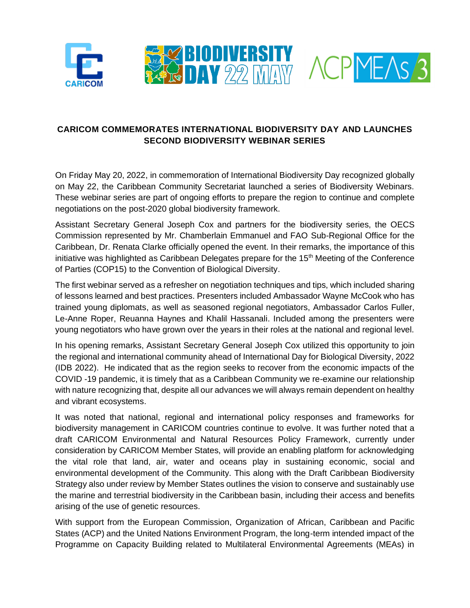





## **CARICOM COMMEMORATES INTERNATIONAL BIODIVERSITY DAY AND LAUNCHES SECOND BIODIVERSITY WEBINAR SERIES**

On Friday May 20, 2022, in commemoration of International Biodiversity Day recognized globally on May 22, the Caribbean Community Secretariat launched a series of Biodiversity Webinars. These webinar series are part of ongoing efforts to prepare the region to continue and complete negotiations on the post-2020 global biodiversity framework.

Assistant Secretary General Joseph Cox and partners for the biodiversity series, the OECS Commission represented by Mr. Chamberlain Emmanuel and FAO Sub-Regional Office for the Caribbean, Dr. Renata Clarke officially opened the event. In their remarks, the importance of this initiative was highlighted as Caribbean Delegates prepare for the  $15<sup>th</sup>$  Meeting of the Conference of Parties (COP15) to the Convention of Biological Diversity.

The first webinar served as a refresher on negotiation techniques and tips, which included sharing of lessons learned and best practices. Presenters included Ambassador Wayne McCook who has trained young diplomats, as well as seasoned regional negotiators, Ambassador Carlos Fuller, Le-Anne Roper, Reuanna Haynes and Khalil Hassanali. Included among the presenters were young negotiators who have grown over the years in their roles at the national and regional level.

In his opening remarks, Assistant Secretary General Joseph Cox utilized this opportunity to join the regional and international community ahead of International Day for Biological Diversity, 2022 (IDB 2022). He indicated that as the region seeks to recover from the economic impacts of the COVID -19 pandemic, it is timely that as a Caribbean Community we re-examine our relationship with nature recognizing that, despite all our advances we will always remain dependent on healthy and vibrant ecosystems.

It was noted that national, regional and international policy responses and frameworks for biodiversity management in CARICOM countries continue to evolve. It was further noted that a draft CARICOM Environmental and Natural Resources Policy Framework, currently under consideration by CARICOM Member States, will provide an enabling platform for acknowledging the vital role that land, air, water and oceans play in sustaining economic, social and environmental development of the Community. This along with the Draft Caribbean Biodiversity Strategy also under review by Member States outlines the vision to conserve and sustainably use the marine and terrestrial biodiversity in the Caribbean basin, including their access and benefits arising of the use of genetic resources.

With support from the European Commission, Organization of African, Caribbean and Pacific States (ACP) and the United Nations Environment Program, the long-term intended impact of the [Programme](https://caricom.org/acp-meas/) on Capacity Building related to Multilateral Environmental Agreements (MEAs) in